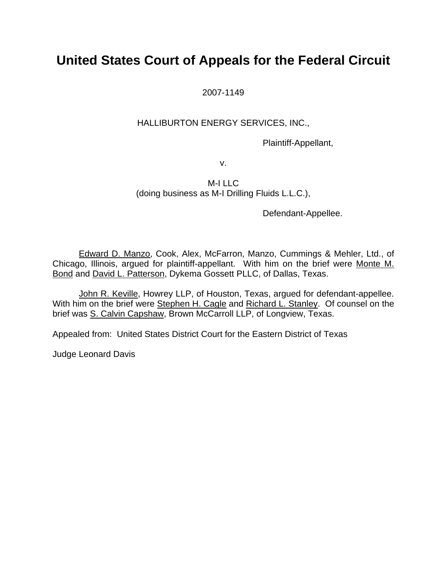# **United States Court of Appeals for the Federal Circuit**

2007-1149

### HALLIBURTON ENERGY SERVICES, INC.,

Plaintiff-Appellant,

v.

#### M-I LLC (doing business as M-I Drilling Fluids L.L.C.),

Defendant-Appellee.

Edward D. Manzo, Cook, Alex, McFarron, Manzo, Cummings & Mehler, Ltd., of Chicago, Illinois, argued for plaintiff-appellant. With him on the brief were Monte M. Bond and David L. Patterson, Dykema Gossett PLLC, of Dallas, Texas.

John R. Keville, Howrey LLP, of Houston, Texas, argued for defendant-appellee. With him on the brief were Stephen H. Cagle and Richard L. Stanley. Of counsel on the brief was S. Calvin Capshaw, Brown McCarroll LLP, of Longview, Texas.

Appealed from: United States District Court for the Eastern District of Texas

Judge Leonard Davis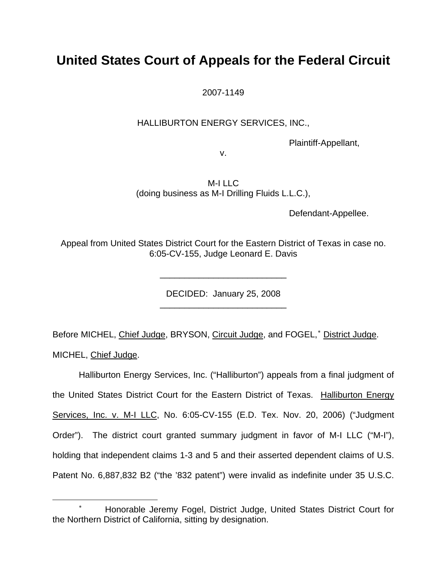# **United States Court of Appeals for the Federal Circuit**

2007-1149

#### HALLIBURTON ENERGY SERVICES, INC.,

Plaintiff-Appellant,

v.

M-I LLC (doing business as M-I Drilling Fluids L.L.C.),

Defendant-Appellee.

Appeal from United States District Court for the Eastern District of Texas in case no. 6:05-CV-155, Judge Leonard E. Davis

> DECIDED: January 25, 2008 \_\_\_\_\_\_\_\_\_\_\_\_\_\_\_\_\_\_\_\_\_\_\_\_\_\_

> \_\_\_\_\_\_\_\_\_\_\_\_\_\_\_\_\_\_\_\_\_\_\_\_\_\_

Before MICHEL, Chief Judge, BRYSON, Circuit Judge, and FOGEL,<sup>\*</sup> District Judge.

MICHEL, Chief Judge.

 $\overline{a}$ 

Halliburton Energy Services, Inc. ("Halliburton") appeals from a final judgment of the United States District Court for the Eastern District of Texas. Halliburton Energy Services, Inc. v. M-I LLC, No. 6:05-CV-155 (E.D. Tex. Nov. 20, 2006) ("Judgment Order"). The district court granted summary judgment in favor of M-I LLC ("M-I"), holding that independent claims 1-3 and 5 and their asserted dependent claims of U.S. Patent No. 6,887,832 B2 ("the '832 patent") were invalid as indefinite under 35 U.S.C.

<span id="page-1-0"></span><sup>∗</sup> Honorable Jeremy Fogel, District Judge, United States District Court for the Northern District of California, sitting by designation.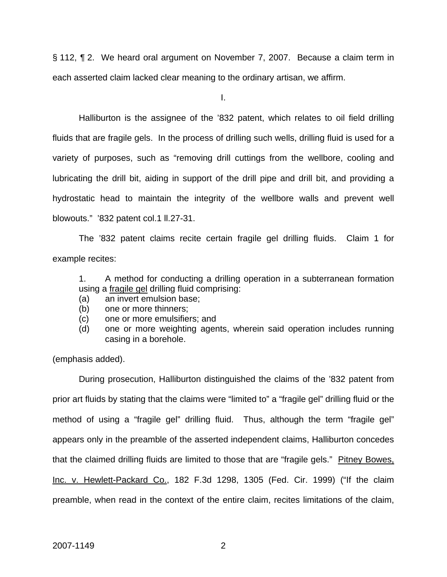§ 112, ¶ 2. We heard oral argument on November 7, 2007. Because a claim term in each asserted claim lacked clear meaning to the ordinary artisan, we affirm.

I.

Halliburton is the assignee of the '832 patent, which relates to oil field drilling fluids that are fragile gels. In the process of drilling such wells, drilling fluid is used for a variety of purposes, such as "removing drill cuttings from the wellbore, cooling and lubricating the drill bit, aiding in support of the drill pipe and drill bit, and providing a hydrostatic head to maintain the integrity of the wellbore walls and prevent well blowouts." '832 patent col.1 ll.27-31.

The '832 patent claims recite certain fragile gel drilling fluids. Claim 1 for example recites:

1. A method for conducting a drilling operation in a subterranean formation using a fragile gel drilling fluid comprising:

- (a) an invert emulsion base;
- (b) one or more thinners;
- (c) one or more emulsifiers; and
- (d) one or more weighting agents, wherein said operation includes running casing in a borehole.

(emphasis added).

During prosecution, Halliburton distinguished the claims of the '832 patent from prior art fluids by stating that the claims were "limited to" a "fragile gel" drilling fluid or the method of using a "fragile gel" drilling fluid. Thus, although the term "fragile gel" appears only in the preamble of the asserted independent claims, Halliburton concedes that the claimed drilling fluids are limited to those that are "fragile gels." Pitney Bowes, Inc. v. Hewlett-Packard Co., 182 F.3d 1298, 1305 (Fed. Cir. 1999) ("If the claim preamble, when read in the context of the entire claim, recites limitations of the claim,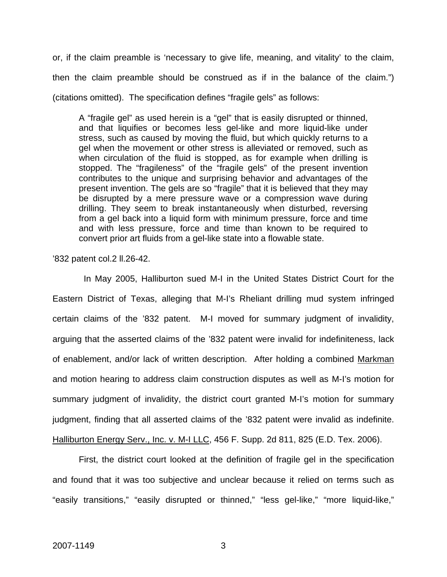or, if the claim preamble is 'necessary to give life, meaning, and vitality' to the claim, then the claim preamble should be construed as if in the balance of the claim.") (citations omitted). The specification defines "fragile gels" as follows:

A "fragile gel" as used herein is a "gel" that is easily disrupted or thinned, and that liquifies or becomes less gel-like and more liquid-like under stress, such as caused by moving the fluid, but which quickly returns to a gel when the movement or other stress is alleviated or removed, such as when circulation of the fluid is stopped, as for example when drilling is stopped. The "fragileness" of the "fragile gels" of the present invention contributes to the unique and surprising behavior and advantages of the present invention. The gels are so "fragile" that it is believed that they may be disrupted by a mere pressure wave or a compression wave during drilling. They seem to break instantaneously when disturbed, reversing from a gel back into a liquid form with minimum pressure, force and time and with less pressure, force and time than known to be required to convert prior art fluids from a gel-like state into a flowable state.

'832 patent col.2 ll.26-42.

 In May 2005, Halliburton sued M-I in the United States District Court for the Eastern District of Texas, alleging that M-I's Rheliant drilling mud system infringed certain claims of the '832 patent. M-I moved for summary judgment of invalidity, arguing that the asserted claims of the '832 patent were invalid for indefiniteness, lack of enablement, and/or lack of written description. After holding a combined Markman and motion hearing to address claim construction disputes as well as M-I's motion for summary judgment of invalidity, the district court granted M-I's motion for summary judgment, finding that all asserted claims of the '832 patent were invalid as indefinite. Halliburton Energy Serv., Inc. v. M-I LLC, 456 F. Supp. 2d 811, 825 (E.D. Tex. 2006).

First, the district court looked at the definition of fragile gel in the specification and found that it was too subjective and unclear because it relied on terms such as "easily transitions," "easily disrupted or thinned," "less gel-like," "more liquid-like,"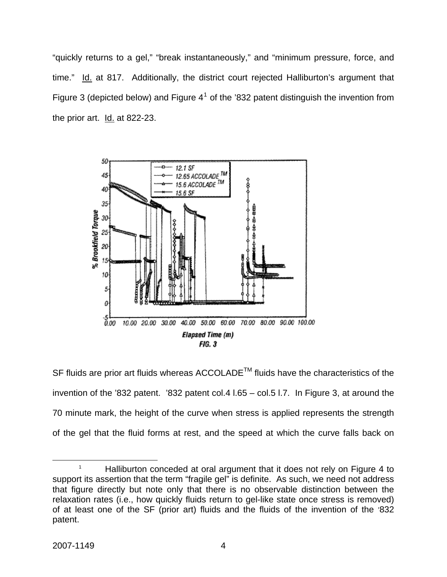"quickly returns to a gel," "break instantaneously," and "minimum pressure, force, and time." Id. at 817. Additionally, the district court rejected Halliburton's argument that Figure 3 (depicted below) and Figure  $4^1$  $4^1$  of the '832 patent distinguish the invention from the prior art. Id. at 822-23.



SF fluids are prior art fluids whereas ACCOLADE<sup>™</sup> fluids have the characteristics of the invention of the '832 patent. '832 patent col.4 l.65 – col.5 l.7. In Figure 3, at around the 70 minute mark, the height of the curve when stress is applied represents the strength of the gel that the fluid forms at rest, and the speed at which the curve falls back on

<span id="page-4-0"></span> $\overline{\phantom{a}}$  1  $1$  Halliburton conceded at oral argument that it does not rely on Figure 4 to support its assertion that the term "fragile gel" is definite. As such, we need not address that figure directly but note only that there is no observable distinction between the relaxation rates (i.e., how quickly fluids return to gel-like state once stress is removed) of at least one of the SF (prior art) fluids and the fluids of the invention of the '832 patent.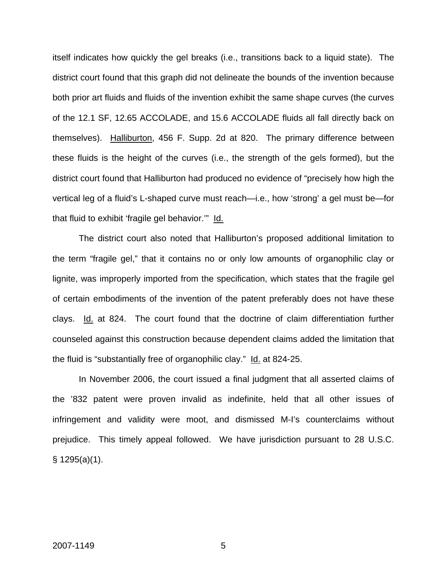itself indicates how quickly the gel breaks (i.e., transitions back to a liquid state). The district court found that this graph did not delineate the bounds of the invention because both prior art fluids and fluids of the invention exhibit the same shape curves (the curves of the 12.1 SF, 12.65 ACCOLADE, and 15.6 ACCOLADE fluids all fall directly back on themselves). Halliburton, 456 F. Supp. 2d at 820. The primary difference between these fluids is the height of the curves (i.e., the strength of the gels formed), but the district court found that Halliburton had produced no evidence of "precisely how high the vertical leg of a fluid's L-shaped curve must reach—i.e., how 'strong' a gel must be—for that fluid to exhibit 'fragile gel behavior.'" Id.

The district court also noted that Halliburton's proposed additional limitation to the term "fragile gel," that it contains no or only low amounts of organophilic clay or lignite, was improperly imported from the specification, which states that the fragile gel of certain embodiments of the invention of the patent preferably does not have these clays. Id. at 824. The court found that the doctrine of claim differentiation further counseled against this construction because dependent claims added the limitation that the fluid is "substantially free of organophilic clay." Id. at 824-25.

In November 2006, the court issued a final judgment that all asserted claims of the '832 patent were proven invalid as indefinite, held that all other issues of infringement and validity were moot, and dismissed M-I's counterclaims without prejudice. This timely appeal followed. We have jurisdiction pursuant to 28 U.S.C. § 1295(a)(1).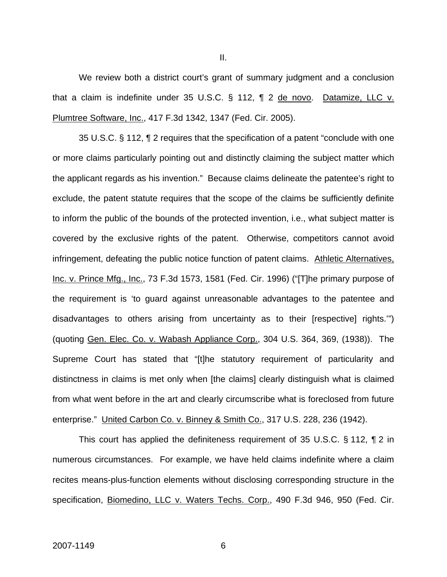We review both a district court's grant of summary judgment and a conclusion that a claim is indefinite under 35 U.S.C. § 112, ¶ 2 de novo. Datamize, LLC v. Plumtree Software, Inc., 417 F.3d 1342, 1347 (Fed. Cir. 2005).

35 U.S.C. § 112, ¶ 2 requires that the specification of a patent "conclude with one or more claims particularly pointing out and distinctly claiming the subject matter which the applicant regards as his invention." Because claims delineate the patentee's right to exclude, the patent statute requires that the scope of the claims be sufficiently definite to inform the public of the bounds of the protected invention, i.e., what subject matter is covered by the exclusive rights of the patent. Otherwise, competitors cannot avoid infringement, defeating the public notice function of patent claims. Athletic Alternatives, Inc. v. Prince Mfg., Inc., 73 F.3d 1573, 1581 (Fed. Cir. 1996) ("[T]he primary purpose of the requirement is 'to guard against unreasonable advantages to the patentee and disadvantages to others arising from uncertainty as to their [respective] rights.'") (quoting Gen. Elec. Co. v. Wabash Appliance Corp., 304 U.S. 364, 369, (1938)). The Supreme Court has stated that "[t]he statutory requirement of particularity and distinctness in claims is met only when [the claims] clearly distinguish what is claimed from what went before in the art and clearly circumscribe what is foreclosed from future enterprise." United Carbon Co. v. Binney & Smith Co., 317 U.S. 228, 236 (1942).

This court has applied the definiteness requirement of 35 U.S.C. § 112, ¶ 2 in numerous circumstances. For example, we have held claims indefinite where a claim recites means-plus-function elements without disclosing corresponding structure in the specification, Biomedino, LLC v. Waters Techs. Corp., 490 F.3d 946, 950 (Fed. Cir.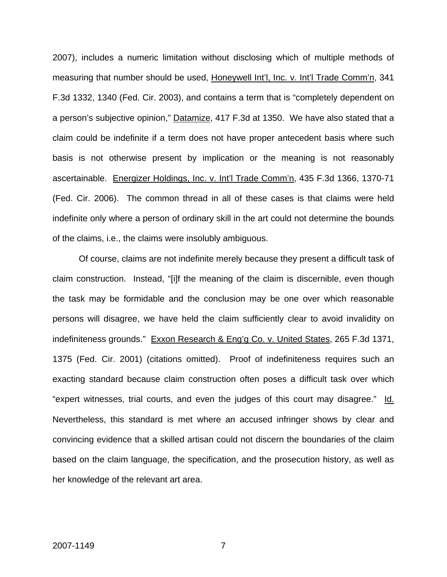2007), includes a numeric limitation without disclosing which of multiple methods of measuring that number should be used, Honeywell Int'l, Inc. v. Int'l Trade Comm'n, 341 F.3d 1332, 1340 (Fed. Cir. 2003), and contains a term that is "completely dependent on a person's subjective opinion," Datamize, 417 F.3d at 1350. We have also stated that a claim could be indefinite if a term does not have proper antecedent basis where such basis is not otherwise present by implication or the meaning is not reasonably ascertainable. Energizer Holdings, Inc. v. Int'l Trade Comm'n, 435 F.3d 1366, 1370-71 (Fed. Cir. 2006). The common thread in all of these cases is that claims were held indefinite only where a person of ordinary skill in the art could not determine the bounds of the claims, i.e., the claims were insolubly ambiguous.

Of course, claims are not indefinite merely because they present a difficult task of claim construction. Instead, "[i]f the meaning of the claim is discernible, even though the task may be formidable and the conclusion may be one over which reasonable persons will disagree, we have held the claim sufficiently clear to avoid invalidity on indefiniteness grounds." Exxon Research & Eng'g Co. v. United States, 265 F.3d 1371, 1375 (Fed. Cir. 2001) (citations omitted). Proof of indefiniteness requires such an exacting standard because claim construction often poses a difficult task over which "expert witnesses, trial courts, and even the judges of this court may disagree." Id. Nevertheless, this standard is met where an accused infringer shows by clear and convincing evidence that a skilled artisan could not discern the boundaries of the claim based on the claim language, the specification, and the prosecution history, as well as her knowledge of the relevant art area.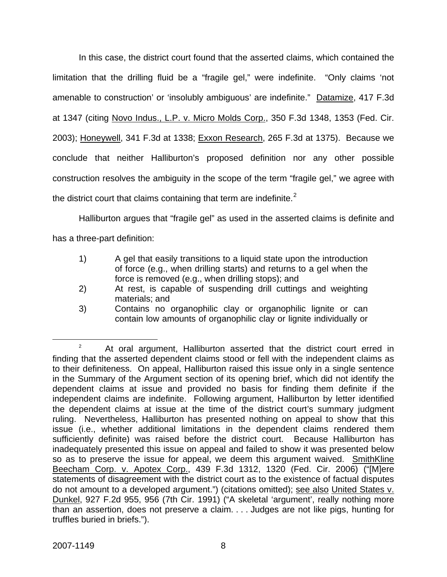In this case, the district court found that the asserted claims, which contained the limitation that the drilling fluid be a "fragile gel," were indefinite. "Only claims 'not amenable to construction' or 'insolubly ambiguous' are indefinite." Datamize, 417 F.3d at 1347 (citing Novo Indus., L.P. v. Micro Molds Corp., 350 F.3d 1348, 1353 (Fed. Cir. 2003); Honeywell, 341 F.3d at 1338; Exxon Research, 265 F.3d at 1375). Because we conclude that neither Halliburton's proposed definition nor any other possible construction resolves the ambiguity in the scope of the term "fragile gel," we agree with the district court that claims containing that term are indefinite.<sup>[2](#page-8-0)</sup>

Halliburton argues that "fragile gel" as used in the asserted claims is definite and has a three-part definition:

- 1) A gel that easily transitions to a liquid state upon the introduction of force (e.g., when drilling starts) and returns to a gel when the force is removed (e.g., when drilling stops); and
- 2) At rest, is capable of suspending drill cuttings and weighting materials; and
- 3) Contains no organophilic clay or organophilic lignite or can contain low amounts of organophilic clay or lignite individually or

<span id="page-8-0"></span> $\overline{\phantom{a}}$  2  $2^2$  At oral argument, Halliburton asserted that the district court erred in finding that the asserted dependent claims stood or fell with the independent claims as to their definiteness. On appeal, Halliburton raised this issue only in a single sentence in the Summary of the Argument section of its opening brief, which did not identify the dependent claims at issue and provided no basis for finding them definite if the independent claims are indefinite. Following argument, Halliburton by letter identified the dependent claims at issue at the time of the district court's summary judgment ruling. Nevertheless, Halliburton has presented nothing on appeal to show that this issue (i.e., whether additional limitations in the dependent claims rendered them sufficiently definite) was raised before the district court. Because Halliburton has inadequately presented this issue on appeal and failed to show it was presented below so as to preserve the issue for appeal, we deem this argument waived. SmithKline Beecham Corp. v. Apotex Corp., 439 F.3d 1312, 1320 (Fed. Cir. 2006) ("[M]ere statements of disagreement with the district court as to the existence of factual disputes do not amount to a developed argument.") (citations omitted); see also United States v. Dunkel, 927 F.2d 955, 956 (7th Cir. 1991) ("A skeletal 'argument', really nothing more than an assertion, does not preserve a claim. . . . Judges are not like pigs, hunting for truffles buried in briefs.").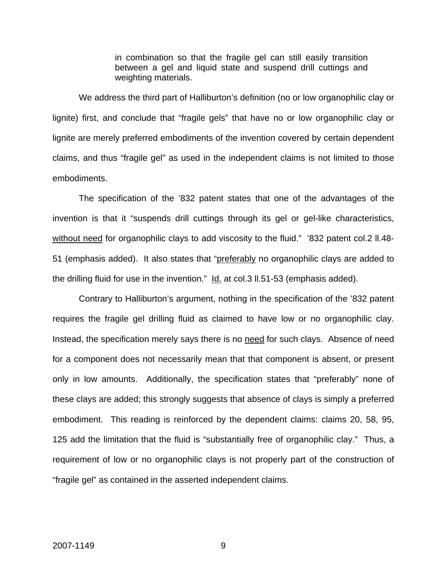in combination so that the fragile gel can still easily transition between a gel and liquid state and suspend drill cuttings and weighting materials.

We address the third part of Halliburton's definition (no or low organophilic clay or lignite) first, and conclude that "fragile gels" that have no or low organophilic clay or lignite are merely preferred embodiments of the invention covered by certain dependent claims, and thus "fragile gel" as used in the independent claims is not limited to those embodiments.

The specification of the '832 patent states that one of the advantages of the invention is that it "suspends drill cuttings through its gel or gel-like characteristics, without need for organophilic clays to add viscosity to the fluid." '832 patent col.2 II.48-51 (emphasis added). It also states that "preferably no organophilic clays are added to the drilling fluid for use in the invention." Id. at col.3 ll.51-53 (emphasis added).

Contrary to Halliburton's argument, nothing in the specification of the '832 patent requires the fragile gel drilling fluid as claimed to have low or no organophilic clay. Instead, the specification merely says there is no need for such clays. Absence of need for a component does not necessarily mean that that component is absent, or present only in low amounts. Additionally, the specification states that "preferably" none of these clays are added; this strongly suggests that absence of clays is simply a preferred embodiment. This reading is reinforced by the dependent claims: claims 20, 58, 95, 125 add the limitation that the fluid is "substantially free of organophilic clay." Thus, a requirement of low or no organophilic clays is not properly part of the construction of "fragile gel" as contained in the asserted independent claims.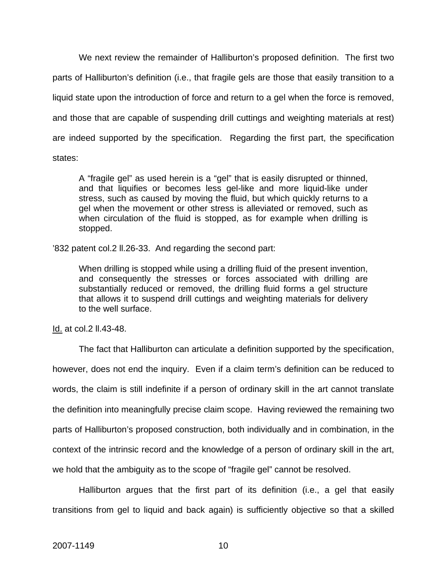We next review the remainder of Halliburton's proposed definition. The first two parts of Halliburton's definition (i.e., that fragile gels are those that easily transition to a liquid state upon the introduction of force and return to a gel when the force is removed, and those that are capable of suspending drill cuttings and weighting materials at rest) are indeed supported by the specification. Regarding the first part, the specification states:

A "fragile gel" as used herein is a "gel" that is easily disrupted or thinned, and that liquifies or becomes less gel-like and more liquid-like under stress, such as caused by moving the fluid, but which quickly returns to a gel when the movement or other stress is alleviated or removed, such as when circulation of the fluid is stopped, as for example when drilling is stopped.

'832 patent col.2 ll.26-33. And regarding the second part:

When drilling is stopped while using a drilling fluid of the present invention, and consequently the stresses or forces associated with drilling are substantially reduced or removed, the drilling fluid forms a gel structure that allows it to suspend drill cuttings and weighting materials for delivery to the well surface.

Id. at col.2 ll.43-48.

The fact that Halliburton can articulate a definition supported by the specification, however, does not end the inquiry. Even if a claim term's definition can be reduced to words, the claim is still indefinite if a person of ordinary skill in the art cannot translate the definition into meaningfully precise claim scope. Having reviewed the remaining two parts of Halliburton's proposed construction, both individually and in combination, in the context of the intrinsic record and the knowledge of a person of ordinary skill in the art, we hold that the ambiguity as to the scope of "fragile gel" cannot be resolved.

Halliburton argues that the first part of its definition (i.e., a gel that easily transitions from gel to liquid and back again) is sufficiently objective so that a skilled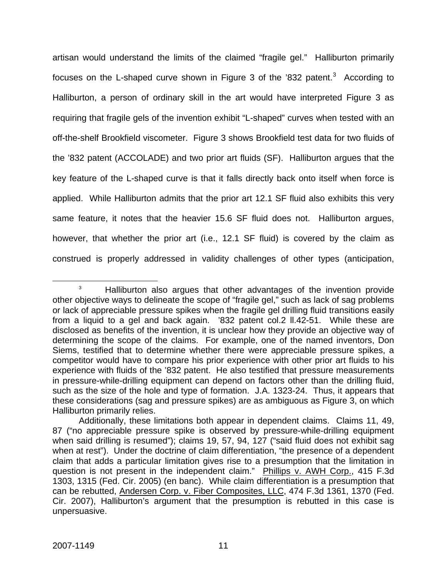artisan would understand the limits of the claimed "fragile gel." Halliburton primarily focuses on the L-shaped curve shown in Figure [3](#page-11-0) of the '832 patent.<sup>3</sup> According to Halliburton, a person of ordinary skill in the art would have interpreted Figure 3 as requiring that fragile gels of the invention exhibit "L-shaped" curves when tested with an off-the-shelf Brookfield viscometer. Figure 3 shows Brookfield test data for two fluids of the '832 patent (ACCOLADE) and two prior art fluids (SF). Halliburton argues that the key feature of the L-shaped curve is that it falls directly back onto itself when force is applied. While Halliburton admits that the prior art 12.1 SF fluid also exhibits this very same feature, it notes that the heavier 15.6 SF fluid does not. Halliburton argues, however, that whether the prior art (i.e., 12.1 SF fluid) is covered by the claim as construed is properly addressed in validity challenges of other types (anticipation,

<span id="page-11-0"></span><sup>&</sup>lt;sup>3</sup> Halliburton also argues that other advantages of the invention provide other objective ways to delineate the scope of "fragile gel," such as lack of sag problems or lack of appreciable pressure spikes when the fragile gel drilling fluid transitions easily from a liquid to a gel and back again. '832 patent col.2 ll.42-51. While these are disclosed as benefits of the invention, it is unclear how they provide an objective way of determining the scope of the claims. For example, one of the named inventors, Don Siems, testified that to determine whether there were appreciable pressure spikes, a competitor would have to compare his prior experience with other prior art fluids to his experience with fluids of the '832 patent. He also testified that pressure measurements in pressure-while-drilling equipment can depend on factors other than the drilling fluid, such as the size of the hole and type of formation. J.A. 1323-24.Thus, it appears that these considerations (sag and pressure spikes) are as ambiguous as Figure 3, on which Halliburton primarily relies.

Additionally, these limitations both appear in dependent claims. Claims 11, 49, 87 ("no appreciable pressure spike is observed by pressure-while-drilling equipment when said drilling is resumed"); claims 19, 57, 94, 127 ("said fluid does not exhibit sag when at rest"). Under the doctrine of claim differentiation, "the presence of a dependent claim that adds a particular limitation gives rise to a presumption that the limitation in question is not present in the independent claim." Phillips v. AWH Corp., 415 F.3d 1303, 1315 (Fed. Cir. 2005) (en banc). While claim differentiation is a presumption that can be rebutted, Andersen Corp. v. Fiber Composites, LLC, 474 F.3d 1361, 1370 (Fed. Cir. 2007), Halliburton's argument that the presumption is rebutted in this case is unpersuasive.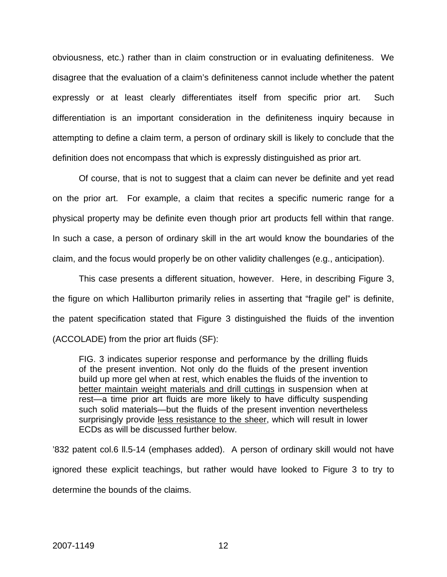obviousness, etc.) rather than in claim construction or in evaluating definiteness. We disagree that the evaluation of a claim's definiteness cannot include whether the patent expressly or at least clearly differentiates itself from specific prior art. Such differentiation is an important consideration in the definiteness inquiry because in attempting to define a claim term, a person of ordinary skill is likely to conclude that the definition does not encompass that which is expressly distinguished as prior art.

Of course, that is not to suggest that a claim can never be definite and yet read on the prior art. For example, a claim that recites a specific numeric range for a physical property may be definite even though prior art products fell within that range. In such a case, a person of ordinary skill in the art would know the boundaries of the claim, and the focus would properly be on other validity challenges (e.g., anticipation).

This case presents a different situation, however. Here, in describing Figure 3, the figure on which Halliburton primarily relies in asserting that "fragile gel" is definite, the patent specification stated that Figure 3 distinguished the fluids of the invention (ACCOLADE) from the prior art fluids (SF):

FIG. 3 indicates superior response and performance by the drilling fluids of the present invention. Not only do the fluids of the present invention build up more gel when at rest, which enables the fluids of the invention to better maintain weight materials and drill cuttings in suspension when at rest—a time prior art fluids are more likely to have difficulty suspending such solid materials—but the fluids of the present invention nevertheless surprisingly provide less resistance to the sheer, which will result in lower ECDs as will be discussed further below.

'832 patent col.6 ll.5-14 (emphases added). A person of ordinary skill would not have ignored these explicit teachings, but rather would have looked to Figure 3 to try to determine the bounds of the claims.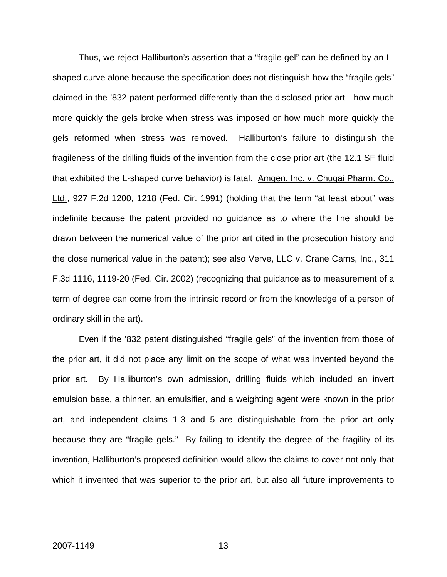Thus, we reject Halliburton's assertion that a "fragile gel" can be defined by an Lshaped curve alone because the specification does not distinguish how the "fragile gels" claimed in the '832 patent performed differently than the disclosed prior art—how much more quickly the gels broke when stress was imposed or how much more quickly the gels reformed when stress was removed. Halliburton's failure to distinguish the fragileness of the drilling fluids of the invention from the close prior art (the 12.1 SF fluid that exhibited the L-shaped curve behavior) is fatal. Amgen, Inc. v. Chugai Pharm. Co., Ltd., 927 F.2d 1200, 1218 (Fed. Cir. 1991) (holding that the term "at least about" was indefinite because the patent provided no guidance as to where the line should be drawn between the numerical value of the prior art cited in the prosecution history and the close numerical value in the patent); see also Verve, LLC v. Crane Cams, Inc., 311 F.3d 1116, 1119-20 (Fed. Cir. 2002) (recognizing that guidance as to measurement of a term of degree can come from the intrinsic record or from the knowledge of a person of ordinary skill in the art).

Even if the '832 patent distinguished "fragile gels" of the invention from those of the prior art, it did not place any limit on the scope of what was invented beyond the prior art. By Halliburton's own admission, drilling fluids which included an invert emulsion base, a thinner, an emulsifier, and a weighting agent were known in the prior art, and independent claims 1-3 and 5 are distinguishable from the prior art only because they are "fragile gels." By failing to identify the degree of the fragility of its invention, Halliburton's proposed definition would allow the claims to cover not only that which it invented that was superior to the prior art, but also all future improvements to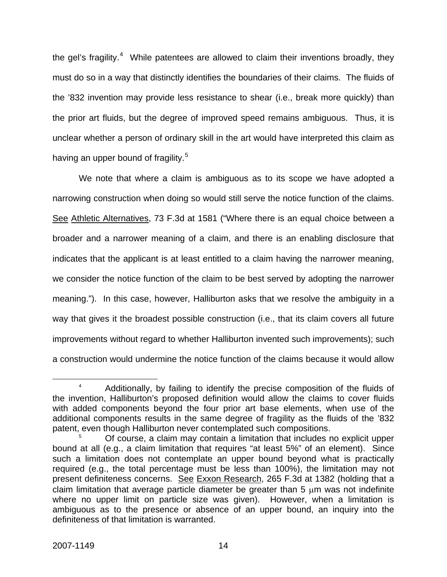the gel's fragility.<sup>[4](#page-14-0)</sup> While patentees are allowed to claim their inventions broadly, they must do so in a way that distinctly identifies the boundaries of their claims. The fluids of the '832 invention may provide less resistance to shear (i.e., break more quickly) than the prior art fluids, but the degree of improved speed remains ambiguous. Thus, it is unclear whether a person of ordinary skill in the art would have interpreted this claim as having an upper bound of fragility.<sup>[5](#page-14-1)</sup>

We note that where a claim is ambiguous as to its scope we have adopted a narrowing construction when doing so would still serve the notice function of the claims. See Athletic Alternatives, 73 F.3d at 1581 ("Where there is an equal choice between a broader and a narrower meaning of a claim, and there is an enabling disclosure that indicates that the applicant is at least entitled to a claim having the narrower meaning, we consider the notice function of the claim to be best served by adopting the narrower meaning."). In this case, however, Halliburton asks that we resolve the ambiguity in a way that gives it the broadest possible construction (i.e., that its claim covers all future improvements without regard to whether Halliburton invented such improvements); such a construction would undermine the notice function of the claims because it would allow

<span id="page-14-0"></span> $\overline{a}$ <sup>4</sup> Additionally, by failing to identify the precise composition of the fluids of the invention, Halliburton's proposed definition would allow the claims to cover fluids with added components beyond the four prior art base elements, when use of the additional components results in the same degree of fragility as the fluids of the '832 patent, even though Halliburton never contemplated such compositions.

<span id="page-14-1"></span><sup>5</sup> Of course, a claim may contain a limitation that includes no explicit upper bound at all (e.g., a claim limitation that requires "at least 5%" of an element). Since such a limitation does not contemplate an upper bound beyond what is practically required (e.g., the total percentage must be less than 100%), the limitation may not present definiteness concerns. See Exxon Research, 265 F.3d at 1382 (holding that a claim limitation that average particle diameter be greater than 5 μm was not indefinite where no upper limit on particle size was given). However, when a limitation is ambiguous as to the presence or absence of an upper bound, an inquiry into the definiteness of that limitation is warranted.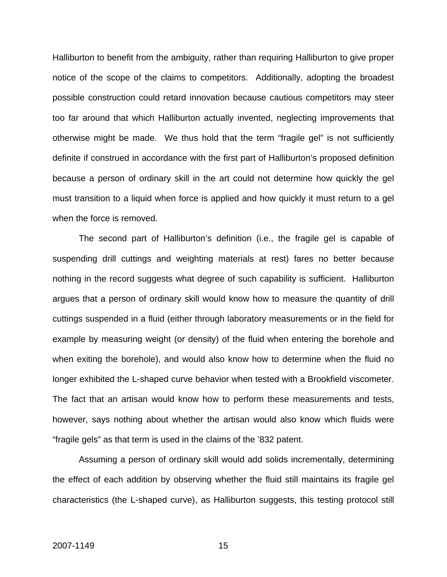Halliburton to benefit from the ambiguity, rather than requiring Halliburton to give proper notice of the scope of the claims to competitors. Additionally, adopting the broadest possible construction could retard innovation because cautious competitors may steer too far around that which Halliburton actually invented, neglecting improvements that otherwise might be made. We thus hold that the term "fragile gel" is not sufficiently definite if construed in accordance with the first part of Halliburton's proposed definition because a person of ordinary skill in the art could not determine how quickly the gel must transition to a liquid when force is applied and how quickly it must return to a gel when the force is removed.

 The second part of Halliburton's definition (i.e., the fragile gel is capable of suspending drill cuttings and weighting materials at rest) fares no better because nothing in the record suggests what degree of such capability is sufficient. Halliburton argues that a person of ordinary skill would know how to measure the quantity of drill cuttings suspended in a fluid (either through laboratory measurements or in the field for example by measuring weight (or density) of the fluid when entering the borehole and when exiting the borehole), and would also know how to determine when the fluid no longer exhibited the L-shaped curve behavior when tested with a Brookfield viscometer. The fact that an artisan would know how to perform these measurements and tests, however, says nothing about whether the artisan would also know which fluids were "fragile gels" as that term is used in the claims of the '832 patent.

Assuming a person of ordinary skill would add solids incrementally, determining the effect of each addition by observing whether the fluid still maintains its fragile gel characteristics (the L-shaped curve), as Halliburton suggests, this testing protocol still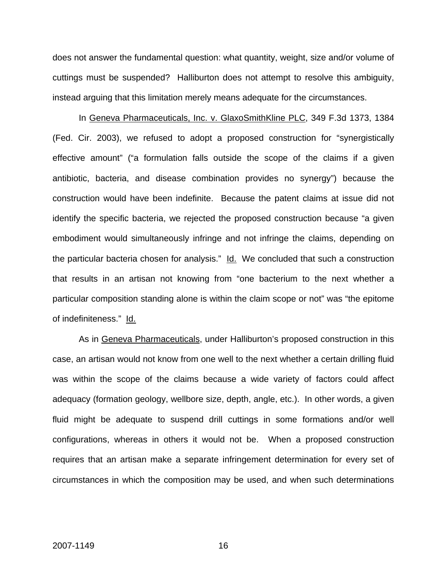does not answer the fundamental question: what quantity, weight, size and/or volume of cuttings must be suspended? Halliburton does not attempt to resolve this ambiguity, instead arguing that this limitation merely means adequate for the circumstances.

In Geneva Pharmaceuticals, Inc. v. GlaxoSmithKline PLC, 349 F.3d 1373, 1384 (Fed. Cir. 2003), we refused to adopt a proposed construction for "synergistically effective amount" ("a formulation falls outside the scope of the claims if a given antibiotic, bacteria, and disease combination provides no synergy") because the construction would have been indefinite. Because the patent claims at issue did not identify the specific bacteria, we rejected the proposed construction because "a given embodiment would simultaneously infringe and not infringe the claims, depending on the particular bacteria chosen for analysis." Id. We concluded that such a construction that results in an artisan not knowing from "one bacterium to the next whether a particular composition standing alone is within the claim scope or not" was "the epitome of indefiniteness." Id.

As in Geneva Pharmaceuticals, under Halliburton's proposed construction in this case, an artisan would not know from one well to the next whether a certain drilling fluid was within the scope of the claims because a wide variety of factors could affect adequacy (formation geology, wellbore size, depth, angle, etc.). In other words, a given fluid might be adequate to suspend drill cuttings in some formations and/or well configurations, whereas in others it would not be. When a proposed construction requires that an artisan make a separate infringement determination for every set of circumstances in which the composition may be used, and when such determinations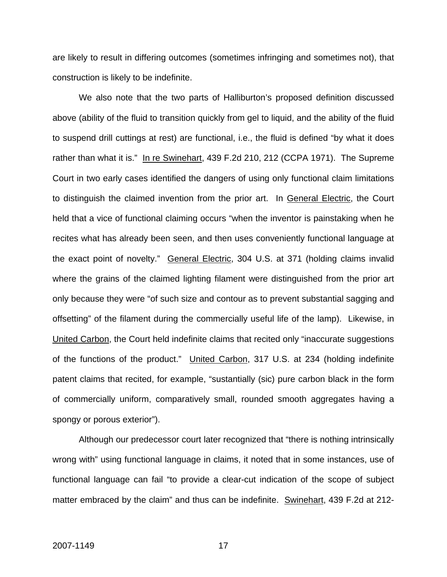are likely to result in differing outcomes (sometimes infringing and sometimes not), that construction is likely to be indefinite.

We also note that the two parts of Halliburton's proposed definition discussed above (ability of the fluid to transition quickly from gel to liquid, and the ability of the fluid to suspend drill cuttings at rest) are functional, i.e., the fluid is defined "by what it does rather than what it is." In re Swinehart, 439 F.2d 210, 212 (CCPA 1971). The Supreme Court in two early cases identified the dangers of using only functional claim limitations to distinguish the claimed invention from the prior art. In General Electric, the Court held that a vice of functional claiming occurs "when the inventor is painstaking when he recites what has already been seen, and then uses conveniently functional language at the exact point of novelty." General Electric, 304 U.S. at 371 (holding claims invalid where the grains of the claimed lighting filament were distinguished from the prior art only because they were "of such size and contour as to prevent substantial sagging and offsetting" of the filament during the commercially useful life of the lamp). Likewise, in United Carbon, the Court held indefinite claims that recited only "inaccurate suggestions of the functions of the product." United Carbon, 317 U.S. at 234 (holding indefinite patent claims that recited, for example, "sustantially (sic) pure carbon black in the form of commercially uniform, comparatively small, rounded smooth aggregates having a spongy or porous exterior").

Although our predecessor court later recognized that "there is nothing intrinsically wrong with" using functional language in claims, it noted that in some instances, use of functional language can fail "to provide a clear-cut indication of the scope of subject matter embraced by the claim" and thus can be indefinite. Swinehart, 439 F.2d at 212-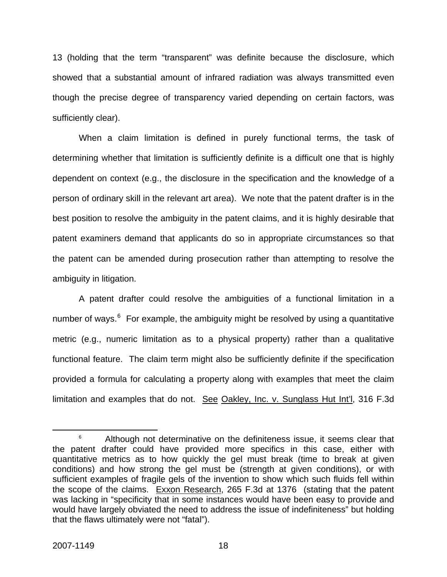13 (holding that the term "transparent" was definite because the disclosure, which showed that a substantial amount of infrared radiation was always transmitted even though the precise degree of transparency varied depending on certain factors, was sufficiently clear).

When a claim limitation is defined in purely functional terms, the task of determining whether that limitation is sufficiently definite is a difficult one that is highly dependent on context (e.g., the disclosure in the specification and the knowledge of a person of ordinary skill in the relevant art area). We note that the patent drafter is in the best position to resolve the ambiguity in the patent claims, and it is highly desirable that patent examiners demand that applicants do so in appropriate circumstances so that the patent can be amended during prosecution rather than attempting to resolve the ambiguity in litigation.

A patent drafter could resolve the ambiguities of a functional limitation in a number of ways. $6$  For example, the ambiguity might be resolved by using a quantitative metric (e.g., numeric limitation as to a physical property) rather than a qualitative functional feature. The claim term might also be sufficiently definite if the specification provided a formula for calculating a property along with examples that meet the claim limitation and examples that do not. See Oakley, Inc. v. Sunglass Hut Int'l, 316 F.3d

<span id="page-18-0"></span> <sup>6</sup>  $6$  Although not determinative on the definiteness issue, it seems clear that the patent drafter could have provided more specifics in this case, either with quantitative metrics as to how quickly the gel must break (time to break at given conditions) and how strong the gel must be (strength at given conditions), or with sufficient examples of fragile gels of the invention to show which such fluids fell within the scope of the claims. Exxon Research, 265 F.3d at 1376 (stating that the patent was lacking in "specificity that in some instances would have been easy to provide and would have largely obviated the need to address the issue of indefiniteness" but holding that the flaws ultimately were not "fatal").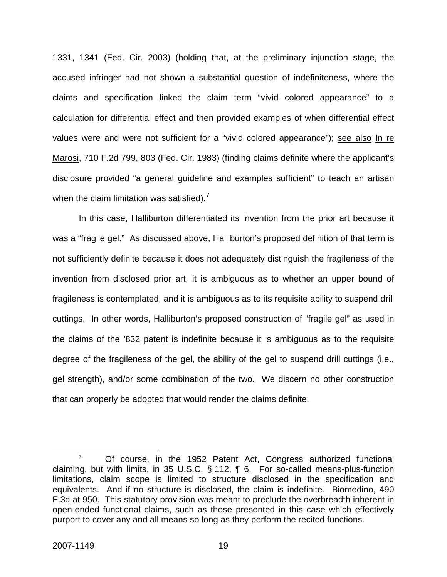1331, 1341 (Fed. Cir. 2003) (holding that, at the preliminary injunction stage, the accused infringer had not shown a substantial question of indefiniteness, where the claims and specification linked the claim term "vivid colored appearance" to a calculation for differential effect and then provided examples of when differential effect values were and were not sufficient for a "vivid colored appearance"); see also In re Marosi, 710 F.2d 799, 803 (Fed. Cir. 1983) (finding claims definite where the applicant's disclosure provided "a general guideline and examples sufficient" to teach an artisan when the claim limitation was satisfied).<sup>[7](#page-19-0)</sup>

In this case, Halliburton differentiated its invention from the prior art because it was a "fragile gel." As discussed above, Halliburton's proposed definition of that term is not sufficiently definite because it does not adequately distinguish the fragileness of the invention from disclosed prior art, it is ambiguous as to whether an upper bound of fragileness is contemplated, and it is ambiguous as to its requisite ability to suspend drill cuttings. In other words, Halliburton's proposed construction of "fragile gel" as used in the claims of the '832 patent is indefinite because it is ambiguous as to the requisite degree of the fragileness of the gel, the ability of the gel to suspend drill cuttings (i.e., gel strength), and/or some combination of the two. We discern no other construction that can properly be adopted that would render the claims definite.

<span id="page-19-0"></span> $\overline{7}$  $\frac{7}{10}$  Of course, in the 1952 Patent Act, Congress authorized functional claiming, but with limits, in 35 U.S.C. § 112, ¶ 6. For so-called means-plus-function limitations, claim scope is limited to structure disclosed in the specification and equivalents. And if no structure is disclosed, the claim is indefinite. Biomedino, 490 F.3d at 950. This statutory provision was meant to preclude the overbreadth inherent in open-ended functional claims, such as those presented in this case which effectively purport to cover any and all means so long as they perform the recited functions.